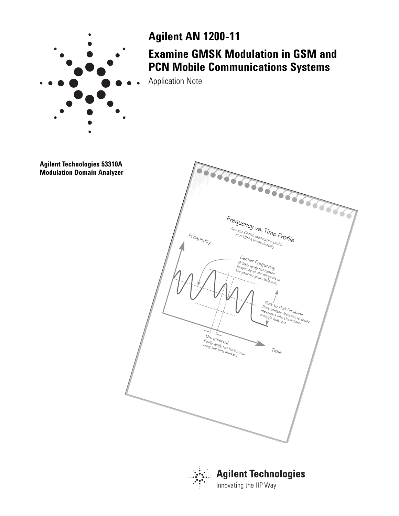

## **Agilent AN 1200-11**

## **Examine GMSK Modulation in GSM and PCN Mobile Communications Systems**

Application Note

Frequency vs. Time Profile<br>
View the GMSK modulation Profile<br>
<sup>OF a TDMA purst directly profile</sup> Frequency Center Frequency<br>
Ruickly verify the center<br>
the peak-to-peak deviation<br>
the peak-to-peak deviation<br>  $\sim$ Time Bit Interval<br>
Easily verify the bit interval<br>
using the time markers Peak-to-Peak Deviation View the GMSK modulation profile<br>of a TDMA burst directly.ofile Peak-to-Peak Deviation<br>measured with the builation<br>analysis features. built-in<br>statures. built-in **Agilent Technologies 53310A Modulation Domain Analyzer**



**Agilent Technologies** Innovating the HP Way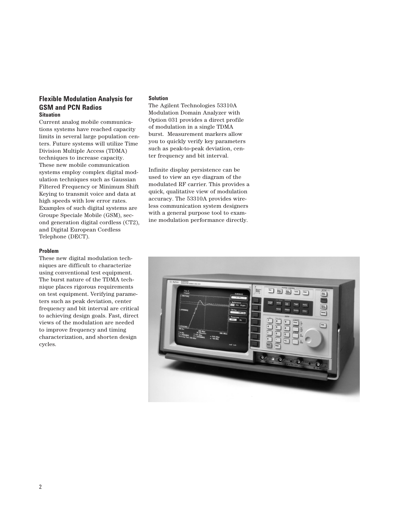### **Flexible Modulation Analysis for GSM and PCN Radios Situation**

Current analog mobile communications systems have reached capacity limits in several large population centers. Future systems will utilize Time Division Multiple Access (TDMA) techniques to increase capacity. These new mobile communication systems employ complex digital modulation techniques such as Gaussian Filtered Frequency or Minimum Shift Keying to transmit voice and data at high speeds with low error rates. Examples of such digital systems are Groupe Speciale Mobile (GSM), second generation digital cordless (CT2), and Digital European Cordless Telephone (DECT).

#### **Problem**

These new digital modulation techniques are difficult to characterize using conventional test equipment. The burst nature of the TDMA technique places rigorous requirements on test equipment. Verifying parameters such as peak deviation, center frequency and bit interval are critical to achieving design goals. Fast, direct views of the modulation are needed to improve frequency and timing characterization, and shorten design cycles.

#### **Solution**

The Agilent Technologies 53310A Modulation Domain Analyzer with Option 031 provides a direct profile of modulation in a single TDMA burst. Measurement markers allow you to quickly verify key parameters such as peak-to-peak deviation, center frequency and bit interval.

Infinite display persistence can be used to view an eye diagram of the modulated RF carrier. This provides a quick, qualitative view of modulation accuracy. The 53310A provides wireless communication system designers with a general purpose tool to examine modulation performance directly.

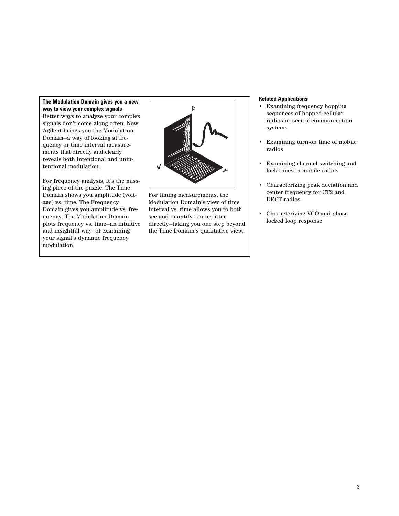#### **The Modulation Domain gives you a new way to view your complex signals**

Better ways to analyze your complex signals don't come along often. Now Agilent brings you the Modulation Domain—a way of looking at frequency or time interval measurements that directly and clearly reveals both intentional and unintentional modulation.

For frequency analysis, it's the missing piece of the puzzle. The Time Domain shows you amplitude (voltage) vs. time. The Frequency Domain gives you amplitude vs. frequency. The Modulation Domain plots frequency vs. time—an intuitive and insightful way of examining your signal's dynamic frequency modulation.



For timing measurements, the Modulation Domain's view of time interval vs. time allows you to both see and quantify timing jitter directly—taking you one step beyond the Time Domain's qualitative view.

#### **Related Applications**

- Examining frequency hopping sequences of hopped cellular radios or secure communication systems
- Examining turn-on time of mobile radios
- Examining channel switching and lock times in mobile radios
- Characterizing peak deviation and center frequency for CT2 and DECT radios
- Characterizing VCO and phaselocked loop response